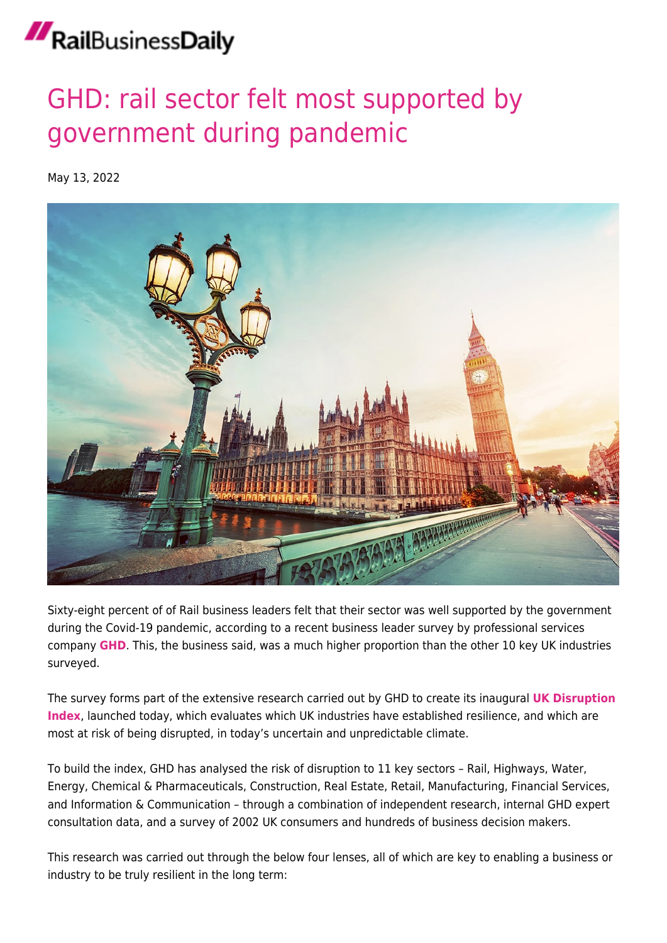## RailBusinessDaily

## [GHD: rail sector felt most supported by](https://news.railbusinessdaily.com/ghd-rail-sector-felt-most-supported-by-government-during-pandemic/) [government during pandemic](https://news.railbusinessdaily.com/ghd-rail-sector-felt-most-supported-by-government-during-pandemic/)

May 13, 2022



Sixty-eight percent of of Rail business leaders felt that their sector was well supported by the government during the Covid-19 pandemic, according to a recent business leader survey by professional services company **[GHD](http://www.ghd.com/)**. This, the business said, was a much higher proportion than the other 10 key UK industries surveyed.

The survey forms part of the extensive research carried out by GHD to create its inaugural **[UK](https://www.ghd.com/en/expertise/recovery-resilience-and-reconnection.aspx?utm_source=media&utm_medium=press_release&utm_campaign=resilience_uk&utm_content=media_content) [Disruption](https://www.ghd.com/en/expertise/recovery-resilience-and-reconnection.aspx?utm_source=media&utm_medium=press_release&utm_campaign=resilience_uk&utm_content=media_content) [Index](https://www.ghd.com/en/expertise/recovery-resilience-and-reconnection.aspx?utm_source=media&utm_medium=press_release&utm_campaign=resilience_uk&utm_content=media_content)**, launched today, which evaluates which UK industries have established resilience, and which are most at risk of being disrupted, in today's uncertain and unpredictable climate.

To build the index, GHD has analysed the risk of disruption to 11 key sectors – Rail, Highways, Water, Energy, Chemical & Pharmaceuticals, Construction, Real Estate, Retail, Manufacturing, Financial Services, and Information & Communication – through a combination of independent research, internal GHD expert consultation data, and a survey of 2002 UK consumers and hundreds of business decision makers.

This research was carried out through the below four lenses, all of which are key to enabling a business or industry to be truly resilient in the long term: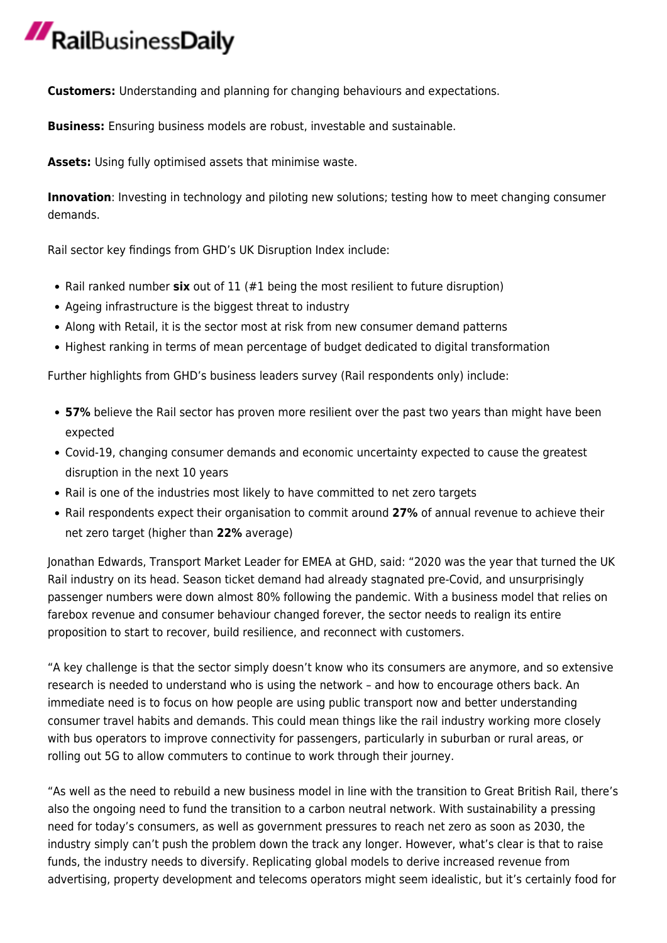## RailBusinessDaily

**Customers:** Understanding and planning for changing behaviours and expectations.

**Business:** Ensuring business models are robust, investable and sustainable.

**Assets:** Using fully optimised assets that minimise waste.

**Innovation**: Investing in technology and piloting new solutions; testing how to meet changing consumer demands.

Rail sector key findings from GHD's UK Disruption Index include:

- Rail ranked number **six** out of 11 (#1 being the most resilient to future disruption)
- Ageing infrastructure is the biggest threat to industry
- Along with Retail, it is the sector most at risk from new consumer demand patterns
- Highest ranking in terms of mean percentage of budget dedicated to digital transformation

Further highlights from GHD's business leaders survey (Rail respondents only) include:

- **57%** believe the Rail sector has proven more resilient over the past two years than might have been expected
- Covid-19, changing consumer demands and economic uncertainty expected to cause the greatest disruption in the next 10 years
- Rail is one of the industries most likely to have committed to net zero targets
- Rail respondents expect their organisation to commit around **27%** of annual revenue to achieve their net zero target (higher than **22%** average)

Jonathan Edwards, Transport Market Leader for EMEA at GHD, said: "2020 was the year that turned the UK Rail industry on its head. Season ticket demand had already stagnated pre-Covid, and unsurprisingly passenger numbers were down almost 80% following the pandemic. With a business model that relies on farebox revenue and consumer behaviour changed forever, the sector needs to realign its entire proposition to start to recover, build resilience, and reconnect with customers.

"A key challenge is that the sector simply doesn't know who its consumers are anymore, and so extensive research is needed to understand who is using the network – and how to encourage others back. An immediate need is to focus on how people are using public transport now and better understanding consumer travel habits and demands. This could mean things like the rail industry working more closely with bus operators to improve connectivity for passengers, particularly in suburban or rural areas, or rolling out 5G to allow commuters to continue to work through their journey.

"As well as the need to rebuild a new business model in line with the transition to Great British Rail, there's also the ongoing need to fund the transition to a carbon neutral network. With sustainability a pressing need for today's consumers, as well as government pressures to reach net zero as soon as 2030, the industry simply can't push the problem down the track any longer. However, what's clear is that to raise funds, the industry needs to diversify. Replicating global models to derive increased revenue from advertising, property development and telecoms operators might seem idealistic, but it's certainly food for